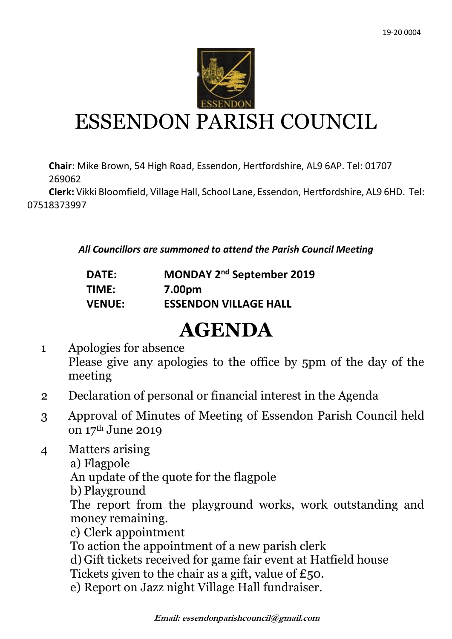

## ESSENDON PARISH COUNCIL

**Chair**: Mike Brown, 54 High Road, Essendon, Hertfordshire, AL9 6AP. Tel: 01707 269062

 **Clerk:** Vikki Bloomfield, Village Hall, School Lane, Essendon, Hertfordshire, AL9 6HD. Tel: 07518373997

*All Councillors are summoned to attend the Parish Council Meeting*

| <b>DATE:</b> | MONDAY 2 <sup>nd</sup> September 2019 |
|--------------|---------------------------------------|
| TINAC.       | 7.00nm                                |

**TIME: 7.00pm VENUE: ESSENDON VILLAGE HALL**

## **AGENDA**

- 1 Apologies for absence Please give any apologies to the office by 5pm of the day of the meeting
- 2 Declaration of personal or financial interest in the Agenda
- 3 Approval of Minutes of Meeting of Essendon Parish Council held on 17th June 2019
- 4 Matters arising
	- a) Flagpole

An update of the quote for the flagpole

b) Playground

The report from the playground works, work outstanding and money remaining.

c) Clerk appointment

To action the appointment of a new parish clerk

- d) Gift tickets received for game fair event at Hatfield house
- Tickets given to the chair as a gift, value of £50.
- e) Report on Jazz night Village Hall fundraiser.